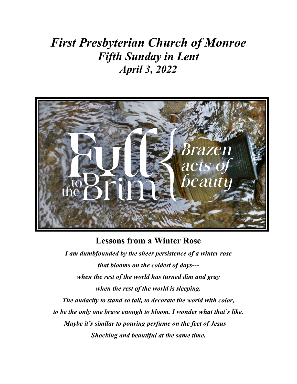# *First Presbyterian Church of Monroe Fifth Sunday in Lent April 3, 2022*



#### **Lessons from a Winter Rose**

*I am dumbfounded by the sheer persistence of a winter rose that blooms on the coldest of days-- when the rest of the world has turned dim and gray when the rest of the world is sleeping. The audacity to stand so tall, to decorate the world with color, to be the only one brave enough to bloom. I wonder what that's like. Maybe it's similar to pouring perfume on the feet of Jesus— Shocking and beautiful at the same time.*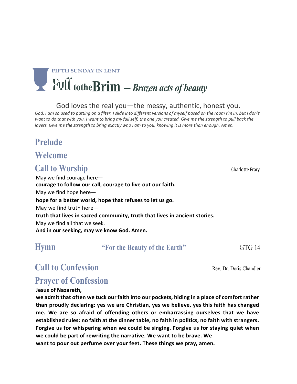# **FIFTH SUNDAY IN LENT totheBrim** – *Brazen acts of beauty*

God loves the real you—the messy, authentic, honest you.

God, I am so used to putting on a filter. I slide into different versions of myself based on the room I'm in, but I don't want to do that with you. I want to bring my full self, the one you created. Give me the strength to pull back the layers. Give me the strength to bring exactly who I am to you, knowing it is more than enough. Amen.

## **Prelude**

**Welcome**

## **Call to Worship Charlotte Frary**

May we find courage here **courage to follow our call, courage to live out our faith.** May we find hope here **hope for a better world, hope that refuses to let us go.** May we find truth here **truth that lives in sacred community, truth that lives in ancient stories.** May we find all that we seek. **And in our seeking, may we know God. Amen.**

**Hymn****"For the Beauty of the Earth"** GTG 14

## **Call to Confession Rev. Dr. Doris Chandler Rev. Dr. Doris Chandler**

## **Prayer of Confession**

#### **Jesus of Nazareth,**

**we admit that often we tuck our faith into our pockets, hiding in a place of comfort rather than proudly declaring: yes we are Christian, yes we believe, yes this faith has changed me. We are so afraid of offending others or embarrassing ourselves that we have established rules: no faith at the dinner table, no faith in politics, no faith with strangers. Forgive us for whispering when we could be singing. Forgive us for staying quiet when we could be part of rewriting the narrative. We want to be brave. We want to pour out perfume over your feet. These things we pray, amen.**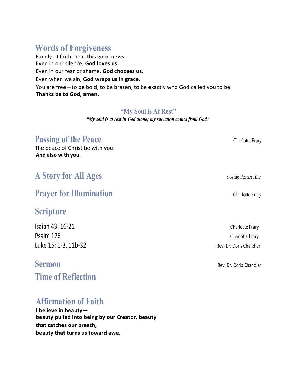## **Words of Forgiveness**

Family of faith, hear this good news: Even in our silence, **God loves us.** Even in our fear or shame, **God chooses us.** Even when we sin, **God wraps us in grace.** You are free—to be bold, to be brazen, to be exactly who God called you to be. **Thanks be to God, amen.**

#### **"My Soul is At Rest"**

*"My soul is at rest in God alone; my salvation comes from God."*

### **Passing of the Peace Charlotte Frary**

The peace of Christ be with you. **And also with you.**

## **A Story for All Ages** Yoshie Pomerville

### **Prayer for Illumination** Charlotte Frary

### **Scripture**

Isaiah 43: 16-21 Charlotte Frary Psalm 126 Charlotte Frary Luke 15: 1-3, 11b-32 Rev. Dr. Doris Chandler

**Time of Reflection**

## **Affirmation of Faith**

**I believe in beauty beauty pulled into being by our Creator, beauty that catches our breath, beauty that turns us toward awe.**

**Sermon Rev. Dr. Doris Chandler**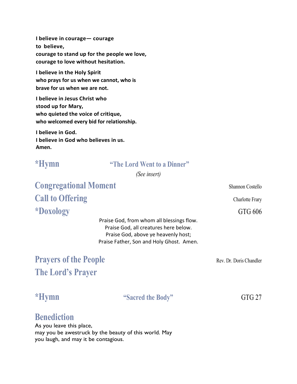**I believe in courage— courage to believe, courage to stand up for the people we love, courage to love without hesitation.**

**I believe in the Holy Spirit who prays for us when we cannot, who is brave for us when we are not.**

**I believe in Jesus Christ who stood up for Mary, who quieted the voice of critique, who welcomed every bid for relationship.**

**I believe in God. I believe in God who believes in us. Amen.**

#### **\*Hymn "The Lord Went to a Dinner"**

*(See insert)*

**Congregational Moment** Shannon Costello **Call to Offering** Charlotte Frary **\*Doxology** GTG 606

Praise God, from whom all blessings flow. Praise God, all creatures here below. Praise God, above ye heavenly host; Praise Father, Son and Holy Ghost. Amen.

## **Prayers of the People** Rev. Dr. Doris Chandler **The Lord's Prayer**

#### **\*Hymn "Sacred the Body"** GTG 27

### **Benediction**

As you leave this place, may you be awestruck by the beauty of this world. May you laugh, and may it be contagious.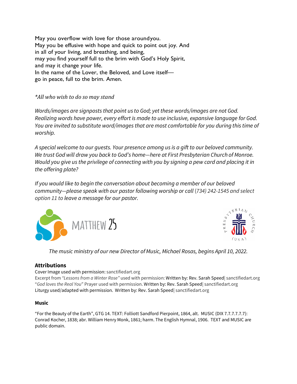May you overflow with love for those aroundyou. May you be effusive with hope and quick to point out joy. And in all of your living, and breathing, and being, may you find yourself full to the brim with God's Holy Spirit, and may it change your life. In the name of the Lover, the Beloved, and Love itself go in peace, full to the brim. Amen.

*\*All who wish to do so may stand*

*Words/images are signposts that point us to God; yet these words/images are not God. Realizing words have power, every effort is made to use inclusive, expansive language for God. You are invited to substitute word/images that are most comfortable for you during this time of worship.*

*A special welcome to our guests. Your presence among us is a gift to our beloved community. We trust God will draw you back to God's home—here at First Presbyterian Church of Monroe. Would you give us the privilege of connecting with you by signing a pew card and placing it in the offering plate?* 

*If you would like to begin the conversation about becoming a member of our beloved community—please speak with our pastor following worship or call* (*734) 242-1545 and select option 11 to leave a message for our pastor.* 





*The music ministry of our new Director of Music, Michael Rosas, begins April 10, 2022.*

#### **Attributions**

Cover Image used with permission: sanctifiedart.org

Excerpt from *"Lessons from a Winter Rose"* used with permission: Written by: Rev. Sarah Speed| sanctifiedart.org "*God loves the Real You*" Prayer used with permission. Written by: Rev. Sarah Speed| sanctifiedart.org Liturgy used/adapted with permission. Written by: Rev. Sarah Speed| sanctifiedart.org

#### **Music**

"For the Beauty of the Earth", GTG 14. TEXT: Folliott Sandford Pierpoint, 1864, alt. MUSIC (DIX 7.7.7.7.7.7): Conrad Kocher, 1838; abr. William Henry Monk, 1861; harm. The English Hymnal, 1906.TEXT and MUSIC are public domain.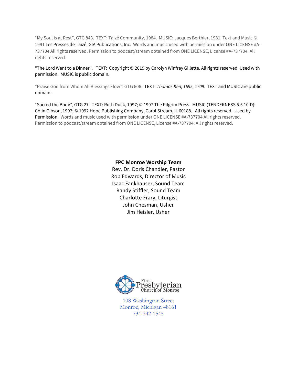"My Soul is at Rest", GTG 843. TEXT: Taizé Community, 1984. MUSIC: Jacques Berthier, 1981. Text and Music © 1991 Les Presses de Taizé, GIA Publications, Inc. Words and music used with permission under ONE LICENSE #A-737704 All rights reserved. Permission to podcast/stream obtained from ONE LICENSE, License #A-737704. All rights reserved.

"The Lord Went to a Dinner". TEXT: Copyright © 2019 by Carolyn Winfrey Gillette. All rights reserved. Used with permission. MUSIC is public domain.

"Praise God from Whom All Blessings Flow". GTG 606. TEXT*: Thomas Ken, 1695, 1709.* TEXT and MUSIC are public domain.

"Sacred the Body", GTG 27. TEXT: Ruth Duck, 1997; © 1997 The Pilgrim Press. MUSIC (TENDERNESS 5.5.10.D): Colin Gibson, 1992; © 1992 Hope Publishing Company, Carol Stream, IL 60188. All rights reserved. Used by Permission.Words and music used with permission under ONE LICENSE #A-737704 All rights reserved. Permission to podcast/stream obtained from ONE LICENSE, License #A-737704. All rights reserved.

#### **FPC Monroe Worship Team**

Rev. Dr. Doris Chandler, Pastor Rob Edwards, Director of Music Isaac Fankhauser, Sound Team Randy Stiffler, Sound Team Charlotte Frary, Liturgist John Chesman, Usher Jim Heisler, Usher



108 Washington Street Monroe, Michigan 48161 734-242-1545